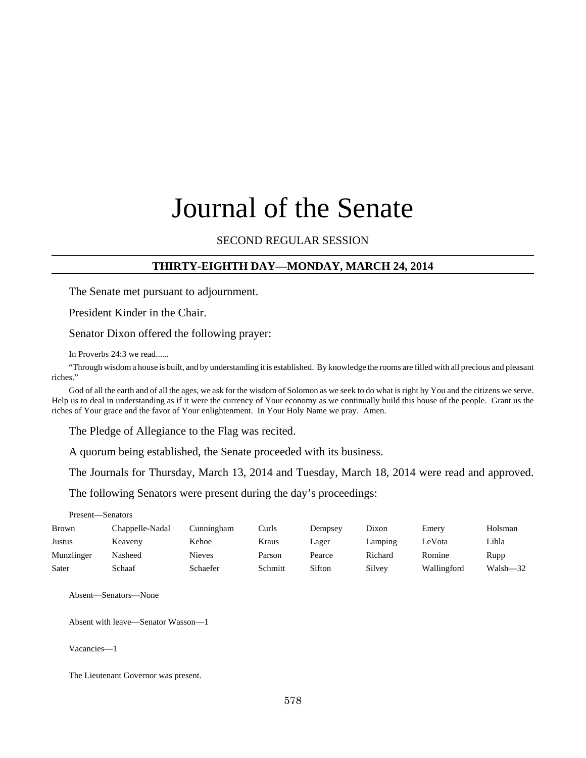# Journal of the Senate

## SECOND REGULAR SESSION

#### **THIRTY-EIGHTH DAY—MONDAY, MARCH 24, 2014**

The Senate met pursuant to adjournment.

President Kinder in the Chair.

Senator Dixon offered the following prayer:

In Proverbs 24:3 we read......

"Through wisdom a house is built, and by understanding it is established. By knowledge the rooms are filled with all precious and pleasant riches."

God of all the earth and of all the ages, we ask for the wisdom of Solomon as we seek to do what is right by You and the citizens we serve. Help us to deal in understanding as if it were the currency of Your economy as we continually build this house of the people. Grant us the riches of Your grace and the favor of Your enlightenment. In Your Holy Name we pray. Amen.

The Pledge of Allegiance to the Flag was recited.

A quorum being established, the Senate proceeded with its business.

The Journals for Thursday, March 13, 2014 and Tuesday, March 18, 2014 were read and approved.

The following Senators were present during the day's proceedings:

| Present—Senators |                 |               |         |         |         |             |          |
|------------------|-----------------|---------------|---------|---------|---------|-------------|----------|
| Brown            | Chappelle-Nadal | Cunningham    | Curls   | Dempsey | Dixon   | Emery       | Holsman  |
| <b>Justus</b>    | Keaveny         | Kehoe         | Kraus   | Lager   | Lamping | LeVota      | Libla    |
| Munzlinger       | Nasheed         | <b>Nieves</b> | Parson  | Pearce  | Richard | Romine      | Rupp     |
| Sater            | Schaaf          | Schaefer      | Schmitt | Sifton  | Silvey  | Wallingford | Walsh-32 |

Absent—Senators—None

Absent with leave—Senator Wasson—1

Vacancies—1

The Lieutenant Governor was present.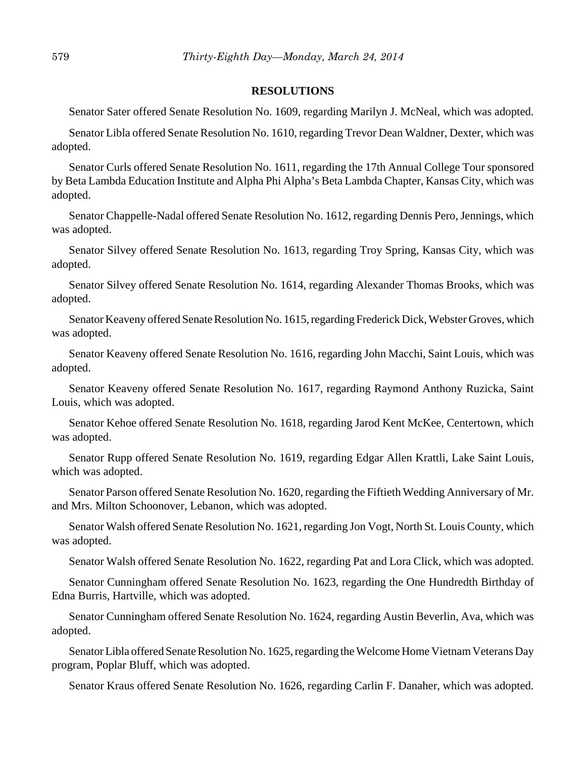#### **RESOLUTIONS**

Senator Sater offered Senate Resolution No. 1609, regarding Marilyn J. McNeal, which was adopted.

Senator Libla offered Senate Resolution No. 1610, regarding Trevor Dean Waldner, Dexter, which was adopted.

Senator Curls offered Senate Resolution No. 1611, regarding the 17th Annual College Tour sponsored by Beta Lambda Education Institute and Alpha Phi Alpha's Beta Lambda Chapter, Kansas City, which was adopted.

Senator Chappelle-Nadal offered Senate Resolution No. 1612, regarding Dennis Pero, Jennings, which was adopted.

Senator Silvey offered Senate Resolution No. 1613, regarding Troy Spring, Kansas City, which was adopted.

Senator Silvey offered Senate Resolution No. 1614, regarding Alexander Thomas Brooks, which was adopted.

Senator Keaveny offered Senate Resolution No. 1615, regarding Frederick Dick, Webster Groves, which was adopted.

Senator Keaveny offered Senate Resolution No. 1616, regarding John Macchi, Saint Louis, which was adopted.

Senator Keaveny offered Senate Resolution No. 1617, regarding Raymond Anthony Ruzicka, Saint Louis, which was adopted.

Senator Kehoe offered Senate Resolution No. 1618, regarding Jarod Kent McKee, Centertown, which was adopted.

Senator Rupp offered Senate Resolution No. 1619, regarding Edgar Allen Krattli, Lake Saint Louis, which was adopted.

Senator Parson offered Senate Resolution No. 1620, regarding the Fiftieth Wedding Anniversary of Mr. and Mrs. Milton Schoonover, Lebanon, which was adopted.

Senator Walsh offered Senate Resolution No. 1621, regarding Jon Vogt, North St. Louis County, which was adopted.

Senator Walsh offered Senate Resolution No. 1622, regarding Pat and Lora Click, which was adopted.

Senator Cunningham offered Senate Resolution No. 1623, regarding the One Hundredth Birthday of Edna Burris, Hartville, which was adopted.

Senator Cunningham offered Senate Resolution No. 1624, regarding Austin Beverlin, Ava, which was adopted.

Senator Libla offered Senate Resolution No. 1625, regarding the Welcome Home Vietnam Veterans Day program, Poplar Bluff, which was adopted.

Senator Kraus offered Senate Resolution No. 1626, regarding Carlin F. Danaher, which was adopted.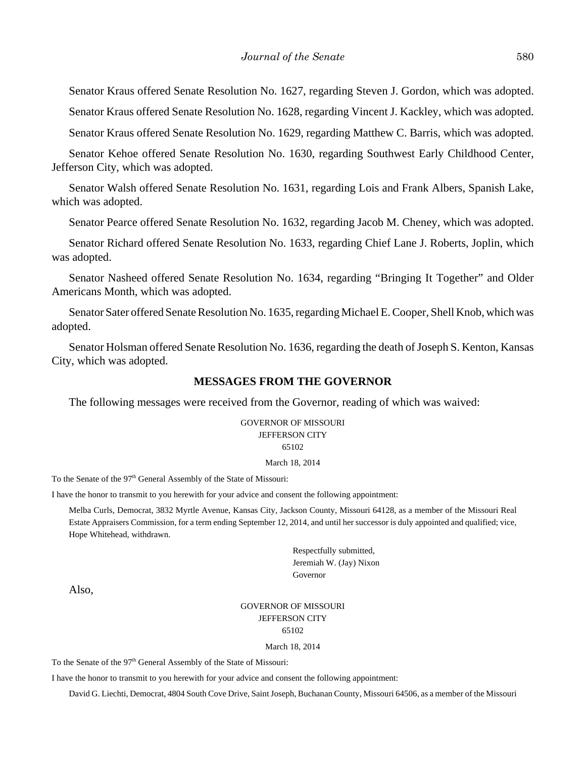Senator Kraus offered Senate Resolution No. 1627, regarding Steven J. Gordon, which was adopted.

Senator Kraus offered Senate Resolution No. 1628, regarding Vincent J. Kackley, which was adopted.

Senator Kraus offered Senate Resolution No. 1629, regarding Matthew C. Barris, which was adopted.

Senator Kehoe offered Senate Resolution No. 1630, regarding Southwest Early Childhood Center, Jefferson City, which was adopted.

Senator Walsh offered Senate Resolution No. 1631, regarding Lois and Frank Albers, Spanish Lake, which was adopted.

Senator Pearce offered Senate Resolution No. 1632, regarding Jacob M. Cheney, which was adopted.

Senator Richard offered Senate Resolution No. 1633, regarding Chief Lane J. Roberts, Joplin, which was adopted.

Senator Nasheed offered Senate Resolution No. 1634, regarding "Bringing It Together" and Older Americans Month, which was adopted.

Senator Sater offered Senate Resolution No. 1635, regarding Michael E. Cooper, Shell Knob, which was adopted.

Senator Holsman offered Senate Resolution No. 1636, regarding the death of Joseph S. Kenton, Kansas City, which was adopted.

#### **MESSAGES FROM THE GOVERNOR**

The following messages were received from the Governor, reading of which was waived:

GOVERNOR OF MISSOURI JEFFERSON CITY 65102

#### March 18, 2014

To the Senate of the 97<sup>th</sup> General Assembly of the State of Missouri:

I have the honor to transmit to you herewith for your advice and consent the following appointment:

Melba Curls, Democrat, 3832 Myrtle Avenue, Kansas City, Jackson County, Missouri 64128, as a member of the Missouri Real Estate Appraisers Commission, for a term ending September 12, 2014, and until her successor is duly appointed and qualified; vice, Hope Whitehead, withdrawn.

> Respectfully submitted, Jeremiah W. (Jay) Nixon Governor

Also,

# GOVERNOR OF MISSOURI JEFFERSON CITY

65102

#### March 18, 2014

To the Senate of the 97<sup>th</sup> General Assembly of the State of Missouri:

I have the honor to transmit to you herewith for your advice and consent the following appointment:

David G. Liechti, Democrat, 4804 South Cove Drive, Saint Joseph, Buchanan County, Missouri 64506, as a member of the Missouri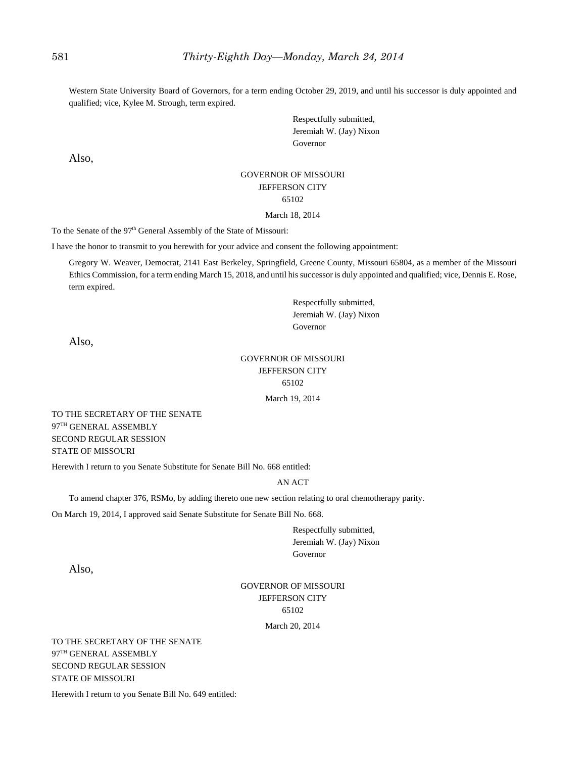Western State University Board of Governors, for a term ending October 29, 2019, and until his successor is duly appointed and qualified; vice, Kylee M. Strough, term expired.

> Respectfully submitted, Jeremiah W. (Jay) Nixon Governor

Also,

#### GOVERNOR OF MISSOURI JEFFERSON CITY 65102 March 18, 2014

To the Senate of the 97<sup>th</sup> General Assembly of the State of Missouri:

I have the honor to transmit to you herewith for your advice and consent the following appointment:

Gregory W. Weaver, Democrat, 2141 East Berkeley, Springfield, Greene County, Missouri 65804, as a member of the Missouri Ethics Commission, for a term ending March 15, 2018, and until his successor is duly appointed and qualified; vice, Dennis E. Rose, term expired.

> Respectfully submitted, Jeremiah W. (Jay) Nixon Governor

Also,

#### GOVERNOR OF MISSOURI JEFFERSON CITY 65102

March 19, 2014

TO THE SECRETARY OF THE SENATE 97TH GENERAL ASSEMBLY SECOND REGULAR SESSION STATE OF MISSOURI

Herewith I return to you Senate Substitute for Senate Bill No. 668 entitled:

#### AN ACT

To amend chapter 376, RSMo, by adding thereto one new section relating to oral chemotherapy parity.

On March 19, 2014, I approved said Senate Substitute for Senate Bill No. 668.

Respectfully submitted, Jeremiah W. (Jay) Nixon Governor

Also,

# GOVERNOR OF MISSOURI JEFFERSON CITY 65102

March 20, 2014

TO THE SECRETARY OF THE SENATE 97TH GENERAL ASSEMBLY SECOND REGULAR SESSION STATE OF MISSOURI

Herewith I return to you Senate Bill No. 649 entitled: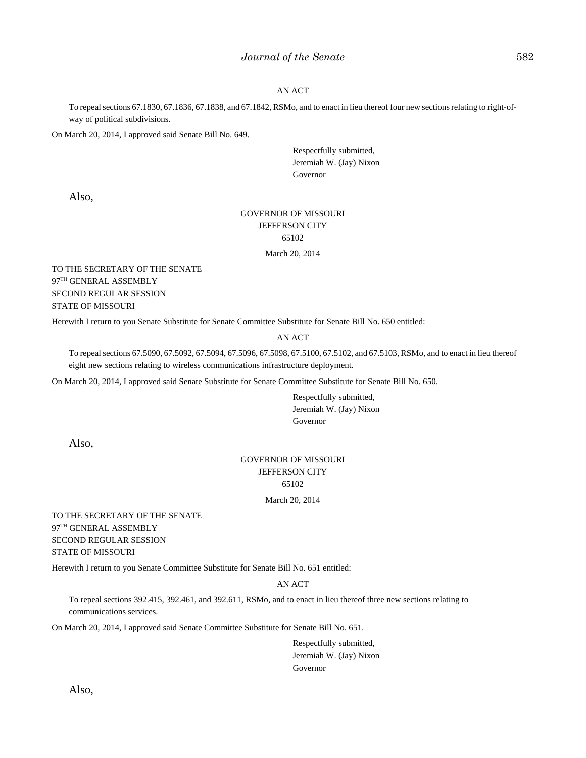#### *Journal of the Senate* 582

#### AN ACT

To repeal sections 67.1830, 67.1836, 67.1838, and 67.1842, RSMo, and to enact in lieu thereof four new sections relating to right-ofway of political subdivisions.

On March 20, 2014, I approved said Senate Bill No. 649.

Respectfully submitted, Jeremiah W. (Jay) Nixon Governor

Also,

#### GOVERNOR OF MISSOURI JEFFERSON CITY 65102

March 20, 2014

TO THE SECRETARY OF THE SENATE 97TH GENERAL ASSEMBLY SECOND REGULAR SESSION STATE OF MISSOURI

Herewith I return to you Senate Substitute for Senate Committee Substitute for Senate Bill No. 650 entitled:

#### AN ACT

To repeal sections 67.5090, 67.5092, 67.5094, 67.5096, 67.5098, 67.5100, 67.5102, and 67.5103, RSMo, and to enact in lieu thereof eight new sections relating to wireless communications infrastructure deployment.

On March 20, 2014, I approved said Senate Substitute for Senate Committee Substitute for Senate Bill No. 650.

Respectfully submitted, Jeremiah W. (Jay) Nixon Governor

Also,

# GOVERNOR OF MISSOURI JEFFERSON CITY 65102

#### March 20, 2014

TO THE SECRETARY OF THE SENATE 97TH GENERAL ASSEMBLY SECOND REGULAR SESSION STATE OF MISSOURI

Herewith I return to you Senate Committee Substitute for Senate Bill No. 651 entitled:

#### AN ACT

To repeal sections 392.415, 392.461, and 392.611, RSMo, and to enact in lieu thereof three new sections relating to communications services.

On March 20, 2014, I approved said Senate Committee Substitute for Senate Bill No. 651.

Respectfully submitted, Jeremiah W. (Jay) Nixon Governor

Also,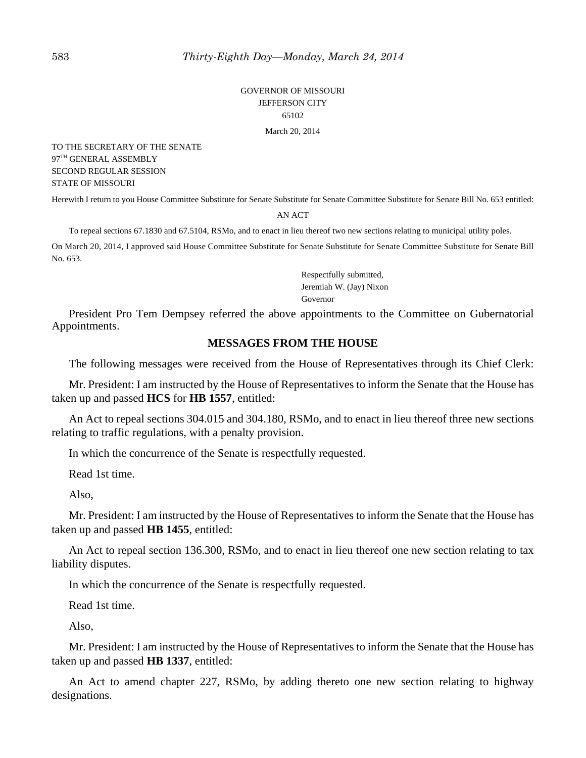GOVERNOR OF MISSOURI JEFFERSON CITY 65102

March 20, 2014

TO THE SECRETARY OF THE SENATE 97TH GENERAL ASSEMBLY SECOND REGULAR SESSION STATE OF MISSOURI

Herewith I return to you House Committee Substitute for Senate Substitute for Senate Committee Substitute for Senate Bill No. 653 entitled:

#### AN ACT

To repeal sections 67.1830 and 67.5104, RSMo, and to enact in lieu thereof two new sections relating to municipal utility poles.

On March 20, 2014, I approved said House Committee Substitute for Senate Substitute for Senate Committee Substitute for Senate Bill No. 653.

> Respectfully submitted, Jeremiah W. (Jay) Nixon Governor

President Pro Tem Dempsey referred the above appointments to the Committee on Gubernatorial Appointments.

## **MESSAGES FROM THE HOUSE**

The following messages were received from the House of Representatives through its Chief Clerk:

Mr. President: I am instructed by the House of Representatives to inform the Senate that the House has taken up and passed **HCS** for **HB 1557**, entitled:

An Act to repeal sections 304.015 and 304.180, RSMo, and to enact in lieu thereof three new sections relating to traffic regulations, with a penalty provision.

In which the concurrence of the Senate is respectfully requested.

Read 1st time.

Also,

Mr. President: I am instructed by the House of Representatives to inform the Senate that the House has taken up and passed **HB 1455**, entitled:

An Act to repeal section 136.300, RSMo, and to enact in lieu thereof one new section relating to tax liability disputes.

In which the concurrence of the Senate is respectfully requested.

Read 1st time.

Also,

Mr. President: I am instructed by the House of Representatives to inform the Senate that the House has taken up and passed **HB 1337**, entitled:

An Act to amend chapter 227, RSMo, by adding thereto one new section relating to highway designations.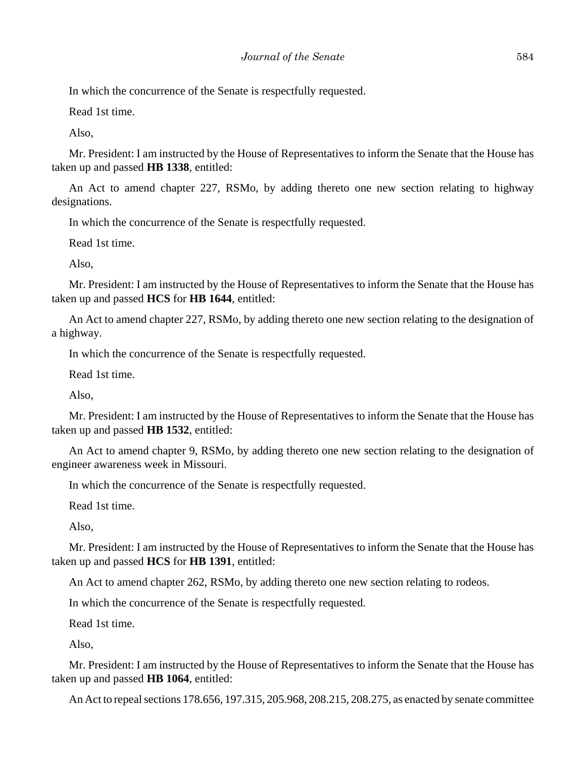In which the concurrence of the Senate is respectfully requested.

Read 1st time.

Also,

Mr. President: I am instructed by the House of Representatives to inform the Senate that the House has taken up and passed **HB 1338**, entitled:

An Act to amend chapter 227, RSMo, by adding thereto one new section relating to highway designations.

In which the concurrence of the Senate is respectfully requested.

Read 1st time.

Also,

Mr. President: I am instructed by the House of Representatives to inform the Senate that the House has taken up and passed **HCS** for **HB 1644**, entitled:

An Act to amend chapter 227, RSMo, by adding thereto one new section relating to the designation of a highway.

In which the concurrence of the Senate is respectfully requested.

Read 1st time.

Also,

Mr. President: I am instructed by the House of Representatives to inform the Senate that the House has taken up and passed **HB 1532**, entitled:

An Act to amend chapter 9, RSMo, by adding thereto one new section relating to the designation of engineer awareness week in Missouri.

In which the concurrence of the Senate is respectfully requested.

Read 1st time.

Also,

Mr. President: I am instructed by the House of Representatives to inform the Senate that the House has taken up and passed **HCS** for **HB 1391**, entitled:

An Act to amend chapter 262, RSMo, by adding thereto one new section relating to rodeos.

In which the concurrence of the Senate is respectfully requested.

Read 1st time.

Also,

Mr. President: I am instructed by the House of Representatives to inform the Senate that the House has taken up and passed **HB 1064**, entitled:

An Act to repeal sections 178.656, 197.315, 205.968, 208.215, 208.275, as enacted by senate committee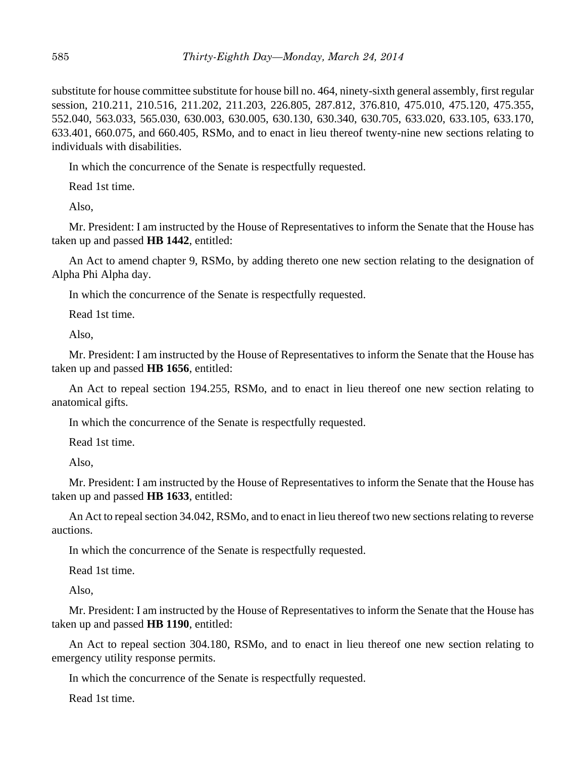substitute for house committee substitute for house bill no. 464, ninety-sixth general assembly, first regular session, 210.211, 210.516, 211.202, 211.203, 226.805, 287.812, 376.810, 475.010, 475.120, 475.355, 552.040, 563.033, 565.030, 630.003, 630.005, 630.130, 630.340, 630.705, 633.020, 633.105, 633.170, 633.401, 660.075, and 660.405, RSMo, and to enact in lieu thereof twenty-nine new sections relating to individuals with disabilities.

In which the concurrence of the Senate is respectfully requested.

Read 1st time.

Also,

Mr. President: I am instructed by the House of Representatives to inform the Senate that the House has taken up and passed **HB 1442**, entitled:

An Act to amend chapter 9, RSMo, by adding thereto one new section relating to the designation of Alpha Phi Alpha day.

In which the concurrence of the Senate is respectfully requested.

Read 1st time.

Also,

Mr. President: I am instructed by the House of Representatives to inform the Senate that the House has taken up and passed **HB 1656**, entitled:

An Act to repeal section 194.255, RSMo, and to enact in lieu thereof one new section relating to anatomical gifts.

In which the concurrence of the Senate is respectfully requested.

Read 1st time.

Also,

Mr. President: I am instructed by the House of Representatives to inform the Senate that the House has taken up and passed **HB 1633**, entitled:

An Act to repeal section 34.042, RSMo, and to enact in lieu thereof two new sections relating to reverse auctions.

In which the concurrence of the Senate is respectfully requested.

Read 1st time.

Also,

Mr. President: I am instructed by the House of Representatives to inform the Senate that the House has taken up and passed **HB 1190**, entitled:

An Act to repeal section 304.180, RSMo, and to enact in lieu thereof one new section relating to emergency utility response permits.

In which the concurrence of the Senate is respectfully requested.

Read 1st time.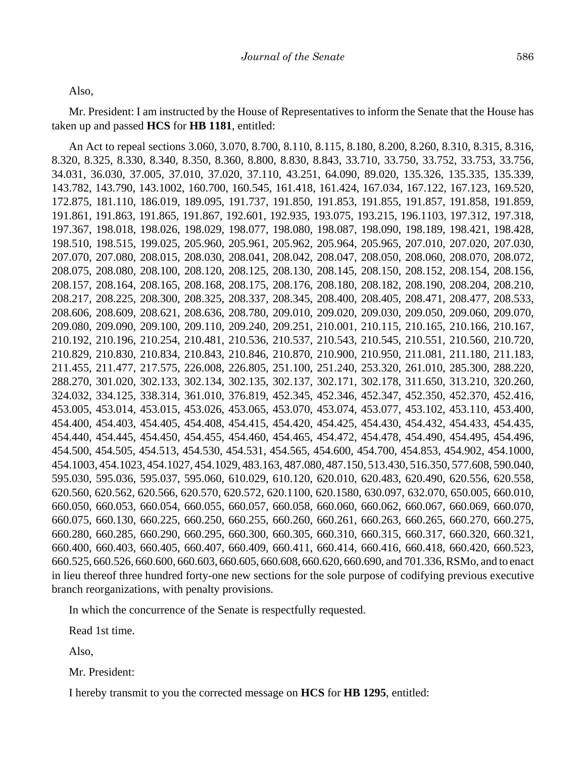Also,

Mr. President: I am instructed by the House of Representatives to inform the Senate that the House has taken up and passed **HCS** for **HB 1181**, entitled:

An Act to repeal sections 3.060, 3.070, 8.700, 8.110, 8.115, 8.180, 8.200, 8.260, 8.310, 8.315, 8.316, 8.320, 8.325, 8.330, 8.340, 8.350, 8.360, 8.800, 8.830, 8.843, 33.710, 33.750, 33.752, 33.753, 33.756, 34.031, 36.030, 37.005, 37.010, 37.020, 37.110, 43.251, 64.090, 89.020, 135.326, 135.335, 135.339, 143.782, 143.790, 143.1002, 160.700, 160.545, 161.418, 161.424, 167.034, 167.122, 167.123, 169.520, 172.875, 181.110, 186.019, 189.095, 191.737, 191.850, 191.853, 191.855, 191.857, 191.858, 191.859, 191.861, 191.863, 191.865, 191.867, 192.601, 192.935, 193.075, 193.215, 196.1103, 197.312, 197.318, 197.367, 198.018, 198.026, 198.029, 198.077, 198.080, 198.087, 198.090, 198.189, 198.421, 198.428, 198.510, 198.515, 199.025, 205.960, 205.961, 205.962, 205.964, 205.965, 207.010, 207.020, 207.030, 207.070, 207.080, 208.015, 208.030, 208.041, 208.042, 208.047, 208.050, 208.060, 208.070, 208.072, 208.075, 208.080, 208.100, 208.120, 208.125, 208.130, 208.145, 208.150, 208.152, 208.154, 208.156, 208.157, 208.164, 208.165, 208.168, 208.175, 208.176, 208.180, 208.182, 208.190, 208.204, 208.210, 208.217, 208.225, 208.300, 208.325, 208.337, 208.345, 208.400, 208.405, 208.471, 208.477, 208.533, 208.606, 208.609, 208.621, 208.636, 208.780, 209.010, 209.020, 209.030, 209.050, 209.060, 209.070, 209.080, 209.090, 209.100, 209.110, 209.240, 209.251, 210.001, 210.115, 210.165, 210.166, 210.167, 210.192, 210.196, 210.254, 210.481, 210.536, 210.537, 210.543, 210.545, 210.551, 210.560, 210.720, 210.829, 210.830, 210.834, 210.843, 210.846, 210.870, 210.900, 210.950, 211.081, 211.180, 211.183, 211.455, 211.477, 217.575, 226.008, 226.805, 251.100, 251.240, 253.320, 261.010, 285.300, 288.220, 288.270, 301.020, 302.133, 302.134, 302.135, 302.137, 302.171, 302.178, 311.650, 313.210, 320.260, 324.032, 334.125, 338.314, 361.010, 376.819, 452.345, 452.346, 452.347, 452.350, 452.370, 452.416, 453.005, 453.014, 453.015, 453.026, 453.065, 453.070, 453.074, 453.077, 453.102, 453.110, 453.400, 454.400, 454.403, 454.405, 454.408, 454.415, 454.420, 454.425, 454.430, 454.432, 454.433, 454.435, 454.440, 454.445, 454.450, 454.455, 454.460, 454.465, 454.472, 454.478, 454.490, 454.495, 454.496, 454.500, 454.505, 454.513, 454.530, 454.531, 454.565, 454.600, 454.700, 454.853, 454.902, 454.1000, 454.1003, 454.1023, 454.1027, 454.1029, 483.163, 487.080, 487.150, 513.430, 516.350, 577.608, 590.040, 595.030, 595.036, 595.037, 595.060, 610.029, 610.120, 620.010, 620.483, 620.490, 620.556, 620.558, 620.560, 620.562, 620.566, 620.570, 620.572, 620.1100, 620.1580, 630.097, 632.070, 650.005, 660.010, 660.050, 660.053, 660.054, 660.055, 660.057, 660.058, 660.060, 660.062, 660.067, 660.069, 660.070, 660.075, 660.130, 660.225, 660.250, 660.255, 660.260, 660.261, 660.263, 660.265, 660.270, 660.275, 660.280, 660.285, 660.290, 660.295, 660.300, 660.305, 660.310, 660.315, 660.317, 660.320, 660.321, 660.400, 660.403, 660.405, 660.407, 660.409, 660.411, 660.414, 660.416, 660.418, 660.420, 660.523, 660.525, 660.526, 660.600, 660.603, 660.605, 660.608, 660.620, 660.690, and 701.336, RSMo, and to enact in lieu thereof three hundred forty-one new sections for the sole purpose of codifying previous executive branch reorganizations, with penalty provisions.

In which the concurrence of the Senate is respectfully requested.

Read 1st time.

Also,

Mr. President:

I hereby transmit to you the corrected message on **HCS** for **HB 1295**, entitled: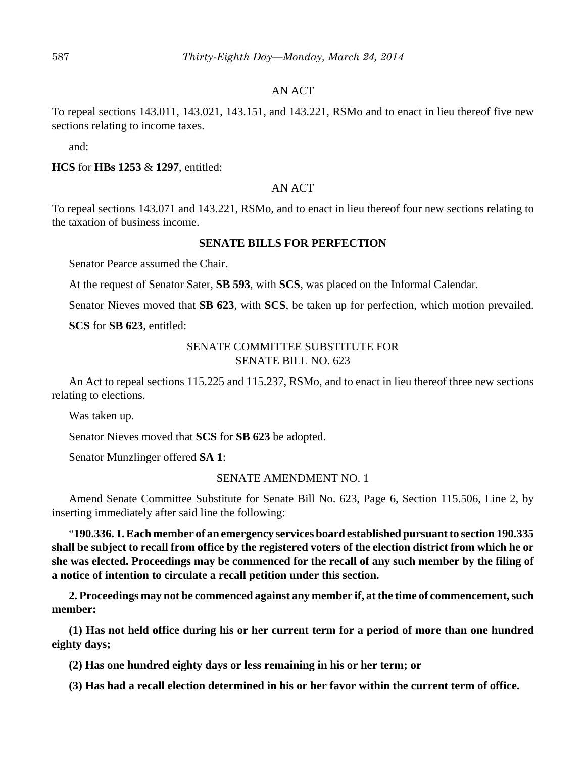#### AN ACT

To repeal sections 143.011, 143.021, 143.151, and 143.221, RSMo and to enact in lieu thereof five new sections relating to income taxes.

and:

#### **HCS** for **HBs 1253** & **1297**, entitled:

#### AN ACT

To repeal sections 143.071 and 143.221, RSMo, and to enact in lieu thereof four new sections relating to the taxation of business income.

#### **SENATE BILLS FOR PERFECTION**

Senator Pearce assumed the Chair.

At the request of Senator Sater, **SB 593**, with **SCS**, was placed on the Informal Calendar.

Senator Nieves moved that **SB 623**, with **SCS**, be taken up for perfection, which motion prevailed.

**SCS** for **SB 623**, entitled:

## SENATE COMMITTEE SUBSTITUTE FOR SENATE BILL NO. 623

An Act to repeal sections 115.225 and 115.237, RSMo, and to enact in lieu thereof three new sections relating to elections.

Was taken up.

Senator Nieves moved that **SCS** for **SB 623** be adopted.

Senator Munzlinger offered **SA 1**:

SENATE AMENDMENT NO. 1

Amend Senate Committee Substitute for Senate Bill No. 623, Page 6, Section 115.506, Line 2, by inserting immediately after said line the following:

"**190.336. 1. Each member of an emergency services board established pursuant to section 190.335 shall be subject to recall from office by the registered voters of the election district from which he or she was elected. Proceedings may be commenced for the recall of any such member by the filing of a notice of intention to circulate a recall petition under this section.**

**2. Proceedings may not be commenced against any member if, at the time of commencement, such member:**

**(1) Has not held office during his or her current term for a period of more than one hundred eighty days;**

**(2) Has one hundred eighty days or less remaining in his or her term; or**

**(3) Has had a recall election determined in his or her favor within the current term of office.**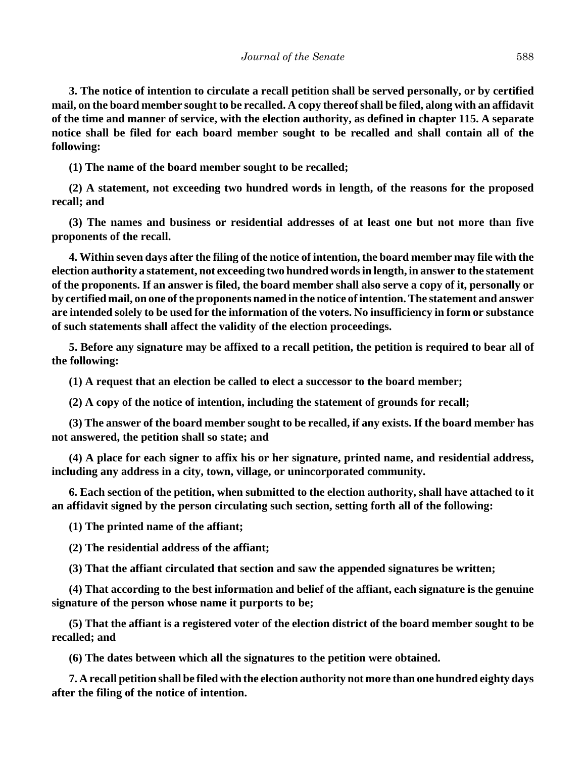**3. The notice of intention to circulate a recall petition shall be served personally, or by certified mail, on the board member sought to be recalled. A copy thereof shall be filed, along with an affidavit of the time and manner of service, with the election authority, as defined in chapter 115. A separate notice shall be filed for each board member sought to be recalled and shall contain all of the following:**

**(1) The name of the board member sought to be recalled;**

**(2) A statement, not exceeding two hundred words in length, of the reasons for the proposed recall; and**

**(3) The names and business or residential addresses of at least one but not more than five proponents of the recall.**

**4. Within seven days after the filing of the notice of intention, the board member may file with the election authority a statement, not exceeding two hundred words in length, in answer to the statement of the proponents. If an answer is filed, the board member shall also serve a copy of it, personally or by certified mail, on one of the proponents named in the notice of intention. The statement and answer are intended solely to be used for the information of the voters. No insufficiency in form or substance of such statements shall affect the validity of the election proceedings.**

**5. Before any signature may be affixed to a recall petition, the petition is required to bear all of the following:**

**(1) A request that an election be called to elect a successor to the board member;**

**(2) A copy of the notice of intention, including the statement of grounds for recall;**

**(3) The answer of the board member sought to be recalled, if any exists. If the board member has not answered, the petition shall so state; and**

**(4) A place for each signer to affix his or her signature, printed name, and residential address, including any address in a city, town, village, or unincorporated community.**

**6. Each section of the petition, when submitted to the election authority, shall have attached to it an affidavit signed by the person circulating such section, setting forth all of the following:**

**(1) The printed name of the affiant;**

**(2) The residential address of the affiant;**

**(3) That the affiant circulated that section and saw the appended signatures be written;**

**(4) That according to the best information and belief of the affiant, each signature is the genuine signature of the person whose name it purports to be;**

**(5) That the affiant is a registered voter of the election district of the board member sought to be recalled; and**

**(6) The dates between which all the signatures to the petition were obtained.**

**7. A recall petition shall be filed with the election authority not more than one hundred eighty days after the filing of the notice of intention.**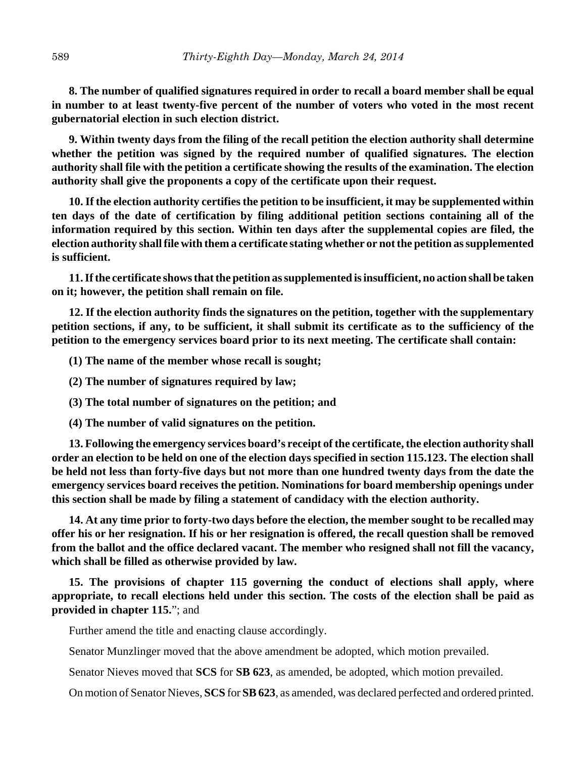**8. The number of qualified signatures required in order to recall a board member shall be equal in number to at least twenty-five percent of the number of voters who voted in the most recent gubernatorial election in such election district.**

**9. Within twenty days from the filing of the recall petition the election authority shall determine whether the petition was signed by the required number of qualified signatures. The election authority shall file with the petition a certificate showing the results of the examination. The election authority shall give the proponents a copy of the certificate upon their request.**

**10. If the election authority certifies the petition to be insufficient, it may be supplemented within ten days of the date of certification by filing additional petition sections containing all of the information required by this section. Within ten days after the supplemental copies are filed, the election authority shall file with them a certificate stating whether or not the petition as supplemented is sufficient.**

**11. If the certificate shows that the petition as supplemented is insufficient, no action shall be taken on it; however, the petition shall remain on file.**

**12. If the election authority finds the signatures on the petition, together with the supplementary petition sections, if any, to be sufficient, it shall submit its certificate as to the sufficiency of the petition to the emergency services board prior to its next meeting. The certificate shall contain:**

**(1) The name of the member whose recall is sought;**

**(2) The number of signatures required by law;**

**(3) The total number of signatures on the petition; and**

**(4) The number of valid signatures on the petition.**

**13. Following the emergency services board's receipt of the certificate, the election authority shall order an election to be held on one of the election days specified in section 115.123. The election shall be held not less than forty-five days but not more than one hundred twenty days from the date the emergency services board receives the petition. Nominations for board membership openings under this section shall be made by filing a statement of candidacy with the election authority.**

**14. At any time prior to forty-two days before the election, the member sought to be recalled may offer his or her resignation. If his or her resignation is offered, the recall question shall be removed from the ballot and the office declared vacant. The member who resigned shall not fill the vacancy, which shall be filled as otherwise provided by law.**

**15. The provisions of chapter 115 governing the conduct of elections shall apply, where appropriate, to recall elections held under this section. The costs of the election shall be paid as provided in chapter 115.**"; and

Further amend the title and enacting clause accordingly.

Senator Munzlinger moved that the above amendment be adopted, which motion prevailed.

Senator Nieves moved that **SCS** for **SB 623**, as amended, be adopted, which motion prevailed.

On motion of Senator Nieves, **SCS** for **SB 623**, as amended, was declared perfected and ordered printed.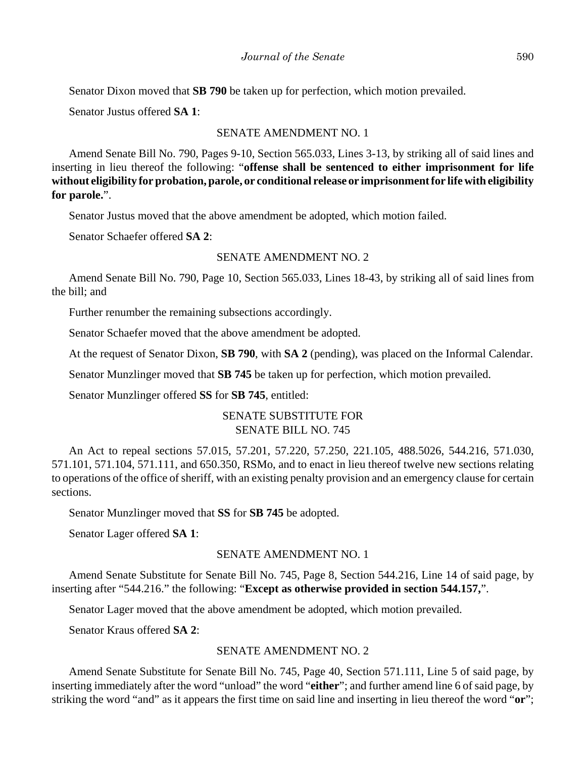Senator Dixon moved that **SB 790** be taken up for perfection, which motion prevailed.

Senator Justus offered **SA 1**:

#### SENATE AMENDMENT NO. 1

Amend Senate Bill No. 790, Pages 9-10, Section 565.033, Lines 3-13, by striking all of said lines and inserting in lieu thereof the following: "**offense shall be sentenced to either imprisonment for life without eligibility for probation, parole, or conditional release or imprisonment for life with eligibility for parole.**".

Senator Justus moved that the above amendment be adopted, which motion failed.

Senator Schaefer offered **SA 2**:

#### SENATE AMENDMENT NO. 2

Amend Senate Bill No. 790, Page 10, Section 565.033, Lines 18-43, by striking all of said lines from the bill; and

Further renumber the remaining subsections accordingly.

Senator Schaefer moved that the above amendment be adopted.

At the request of Senator Dixon, **SB 790**, with **SA 2** (pending), was placed on the Informal Calendar.

Senator Munzlinger moved that **SB 745** be taken up for perfection, which motion prevailed.

Senator Munzlinger offered **SS** for **SB 745**, entitled:

# SENATE SUBSTITUTE FOR SENATE BILL NO. 745

An Act to repeal sections 57.015, 57.201, 57.220, 57.250, 221.105, 488.5026, 544.216, 571.030, 571.101, 571.104, 571.111, and 650.350, RSMo, and to enact in lieu thereof twelve new sections relating to operations of the office of sheriff, with an existing penalty provision and an emergency clause for certain sections.

Senator Munzlinger moved that **SS** for **SB 745** be adopted.

Senator Lager offered **SA 1**:

## SENATE AMENDMENT NO. 1

Amend Senate Substitute for Senate Bill No. 745, Page 8, Section 544.216, Line 14 of said page, by inserting after "544.216." the following: "**Except as otherwise provided in section 544.157,**".

Senator Lager moved that the above amendment be adopted, which motion prevailed.

Senator Kraus offered **SA 2**:

## SENATE AMENDMENT NO. 2

Amend Senate Substitute for Senate Bill No. 745, Page 40, Section 571.111, Line 5 of said page, by inserting immediately after the word "unload" the word "**either**"; and further amend line 6 of said page, by striking the word "and" as it appears the first time on said line and inserting in lieu thereof the word "**or**";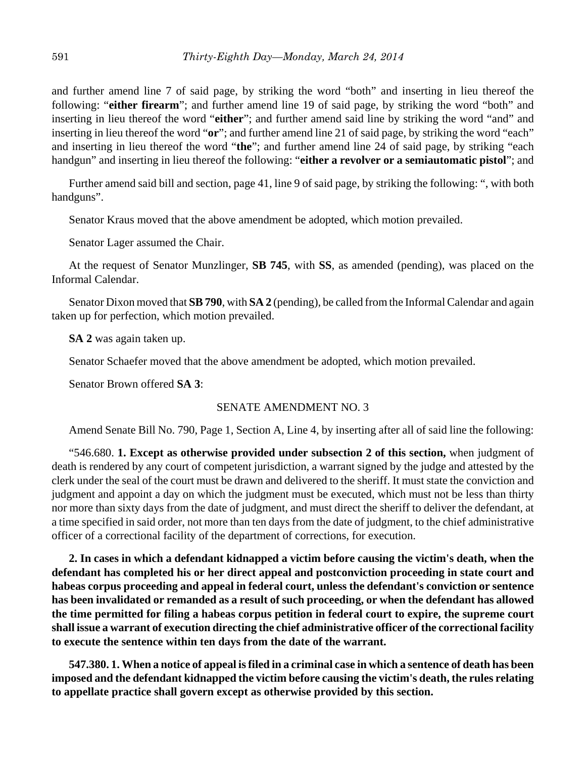and further amend line 7 of said page, by striking the word "both" and inserting in lieu thereof the following: "**either firearm**"; and further amend line 19 of said page, by striking the word "both" and inserting in lieu thereof the word "**either**"; and further amend said line by striking the word "and" and inserting in lieu thereof the word "**or**"; and further amend line 21 of said page, by striking the word "each" and inserting in lieu thereof the word "**the**"; and further amend line 24 of said page, by striking "each handgun" and inserting in lieu thereof the following: "**either a revolver or a semiautomatic pistol**"; and

Further amend said bill and section, page 41, line 9 of said page, by striking the following: ", with both handguns".

Senator Kraus moved that the above amendment be adopted, which motion prevailed.

Senator Lager assumed the Chair.

At the request of Senator Munzlinger, **SB 745**, with **SS**, as amended (pending), was placed on the Informal Calendar.

Senator Dixon moved that **SB 790**, with **SA 2** (pending), be called from the Informal Calendar and again taken up for perfection, which motion prevailed.

**SA 2** was again taken up.

Senator Schaefer moved that the above amendment be adopted, which motion prevailed.

Senator Brown offered **SA 3**:

#### SENATE AMENDMENT NO. 3

Amend Senate Bill No. 790, Page 1, Section A, Line 4, by inserting after all of said line the following:

"546.680. **1. Except as otherwise provided under subsection 2 of this section,** when judgment of death is rendered by any court of competent jurisdiction, a warrant signed by the judge and attested by the clerk under the seal of the court must be drawn and delivered to the sheriff. It must state the conviction and judgment and appoint a day on which the judgment must be executed, which must not be less than thirty nor more than sixty days from the date of judgment, and must direct the sheriff to deliver the defendant, at a time specified in said order, not more than ten days from the date of judgment, to the chief administrative officer of a correctional facility of the department of corrections, for execution.

**2. In cases in which a defendant kidnapped a victim before causing the victim's death, when the defendant has completed his or her direct appeal and postconviction proceeding in state court and habeas corpus proceeding and appeal in federal court, unless the defendant's conviction or sentence has been invalidated or remanded as a result of such proceeding, or when the defendant has allowed the time permitted for filing a habeas corpus petition in federal court to expire, the supreme court shall issue a warrant of execution directing the chief administrative officer of the correctional facility to execute the sentence within ten days from the date of the warrant.**

**547.380. 1. When a notice of appeal is filed in a criminal case in which a sentence of death has been imposed and the defendant kidnapped the victim before causing the victim's death, the rules relating to appellate practice shall govern except as otherwise provided by this section.**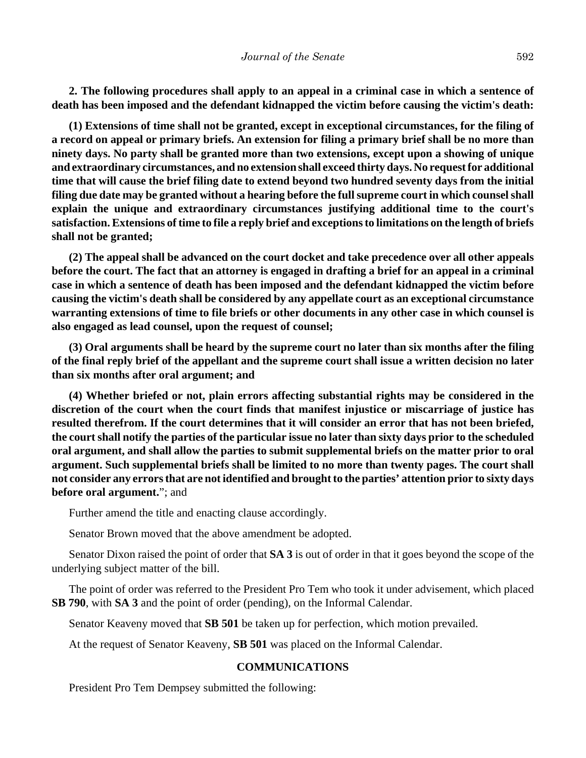**2. The following procedures shall apply to an appeal in a criminal case in which a sentence of death has been imposed and the defendant kidnapped the victim before causing the victim's death:**

**(1) Extensions of time shall not be granted, except in exceptional circumstances, for the filing of a record on appeal or primary briefs. An extension for filing a primary brief shall be no more than ninety days. No party shall be granted more than two extensions, except upon a showing of unique and extraordinary circumstances, and no extension shall exceed thirty days. No request for additional time that will cause the brief filing date to extend beyond two hundred seventy days from the initial filing due date may be granted without a hearing before the full supreme court in which counsel shall explain the unique and extraordinary circumstances justifying additional time to the court's satisfaction. Extensions of time to file a reply brief and exceptions to limitations on the length of briefs shall not be granted;**

**(2) The appeal shall be advanced on the court docket and take precedence over all other appeals before the court. The fact that an attorney is engaged in drafting a brief for an appeal in a criminal case in which a sentence of death has been imposed and the defendant kidnapped the victim before causing the victim's death shall be considered by any appellate court as an exceptional circumstance warranting extensions of time to file briefs or other documents in any other case in which counsel is also engaged as lead counsel, upon the request of counsel;**

**(3) Oral arguments shall be heard by the supreme court no later than six months after the filing of the final reply brief of the appellant and the supreme court shall issue a written decision no later than six months after oral argument; and**

**(4) Whether briefed or not, plain errors affecting substantial rights may be considered in the discretion of the court when the court finds that manifest injustice or miscarriage of justice has resulted therefrom. If the court determines that it will consider an error that has not been briefed, the court shall notify the parties of the particular issue no later than sixty days prior to the scheduled oral argument, and shall allow the parties to submit supplemental briefs on the matter prior to oral argument. Such supplemental briefs shall be limited to no more than twenty pages. The court shall not consider any errors that are not identified and brought to the parties' attention prior to sixty days before oral argument.**"; and

Further amend the title and enacting clause accordingly.

Senator Brown moved that the above amendment be adopted.

Senator Dixon raised the point of order that **SA 3** is out of order in that it goes beyond the scope of the underlying subject matter of the bill.

The point of order was referred to the President Pro Tem who took it under advisement, which placed **SB 790**, with **SA 3** and the point of order (pending), on the Informal Calendar.

Senator Keaveny moved that **SB 501** be taken up for perfection, which motion prevailed.

At the request of Senator Keaveny, **SB 501** was placed on the Informal Calendar.

#### **COMMUNICATIONS**

President Pro Tem Dempsey submitted the following: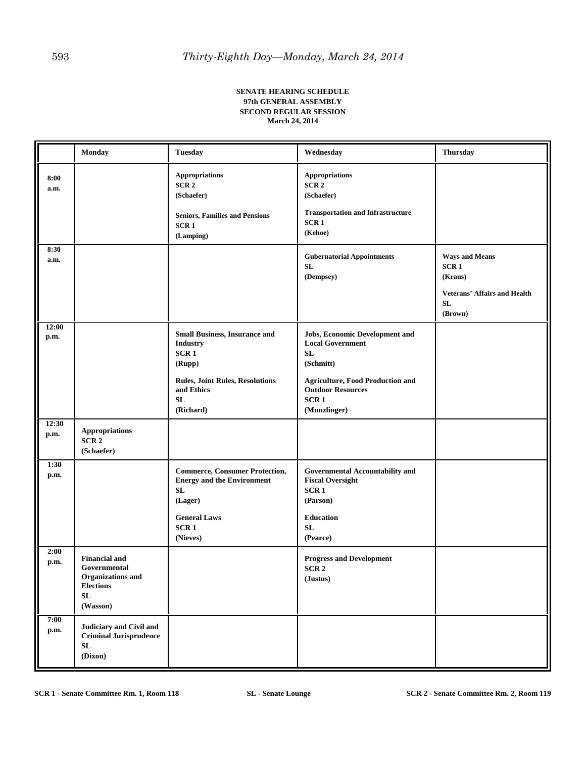#### **SENATE HEARING SCHEDULE 97th GENERAL ASSEMBLY SECOND REGULAR SESSION March 24, 2014**

|               | Monday                                                                                                  | <b>Tuesday</b>                                                                                                                                       | Wednesday                                                                                                                                                                                      | <b>Thursday</b>                                                                                              |
|---------------|---------------------------------------------------------------------------------------------------------|------------------------------------------------------------------------------------------------------------------------------------------------------|------------------------------------------------------------------------------------------------------------------------------------------------------------------------------------------------|--------------------------------------------------------------------------------------------------------------|
| 8:00<br>a.m.  |                                                                                                         | <b>Appropriations</b><br>SCR <sub>2</sub><br>(Schaefer)<br><b>Seniors, Families and Pensions</b><br>SCR <sub>1</sub><br>(Lamping)                    | <b>Appropriations</b><br>SCR <sub>2</sub><br>(Schaefer)<br><b>Transportation and Infrastructure</b><br>SCR <sub>1</sub><br>(Kehoe)                                                             |                                                                                                              |
| 8:30<br>a.m.  |                                                                                                         |                                                                                                                                                      | <b>Gubernatorial Appointments</b><br>${\bf SL}$<br>(Dempsey)                                                                                                                                   | <b>Ways and Means</b><br>SCR <sub>1</sub><br>(Kraus)<br><b>Veterans' Affairs and Health</b><br>SL<br>(Brown) |
| 12:00<br>p.m. |                                                                                                         | <b>Small Business, Insurance and</b><br><b>Industry</b><br>SCR1<br>(Rupp)<br><b>Rules, Joint Rules, Resolutions</b><br>and Ethics<br>SL<br>(Richard) | Jobs, Economic Development and<br><b>Local Government</b><br><b>SL</b><br>(Schmitt)<br><b>Agriculture, Food Production and</b><br><b>Outdoor Resources</b><br>SCR <sub>1</sub><br>(Munzlinger) |                                                                                                              |
| 12:30<br>p.m. | <b>Appropriations</b><br>SCR <sub>2</sub><br>(Schaefer)                                                 |                                                                                                                                                      |                                                                                                                                                                                                |                                                                                                              |
| 1:30<br>p.m.  |                                                                                                         | <b>Commerce, Consumer Protection,</b><br><b>Energy and the Environment</b><br>SL<br>(Lager)<br><b>General Laws</b><br>SCR <sub>1</sub><br>(Nieves)   | <b>Governmental Accountability and</b><br><b>Fiscal Oversight</b><br>SCR <sub>1</sub><br>(Parson)<br><b>Education</b><br>SL<br>(Pearce)                                                        |                                                                                                              |
| 2:00<br>p.m.  | <b>Financial and</b><br>Governmental<br>Organizations and<br><b>Elections</b><br>${\bf SL}$<br>(Wasson) |                                                                                                                                                      | <b>Progress and Development</b><br>SCR <sub>2</sub><br>(Justus)                                                                                                                                |                                                                                                              |
| 7:00<br>p.m.  | Judiciary and Civil and<br><b>Criminal Jurisprudence</b><br>${\bf SL}$<br>(Dixon)                       |                                                                                                                                                      |                                                                                                                                                                                                |                                                                                                              |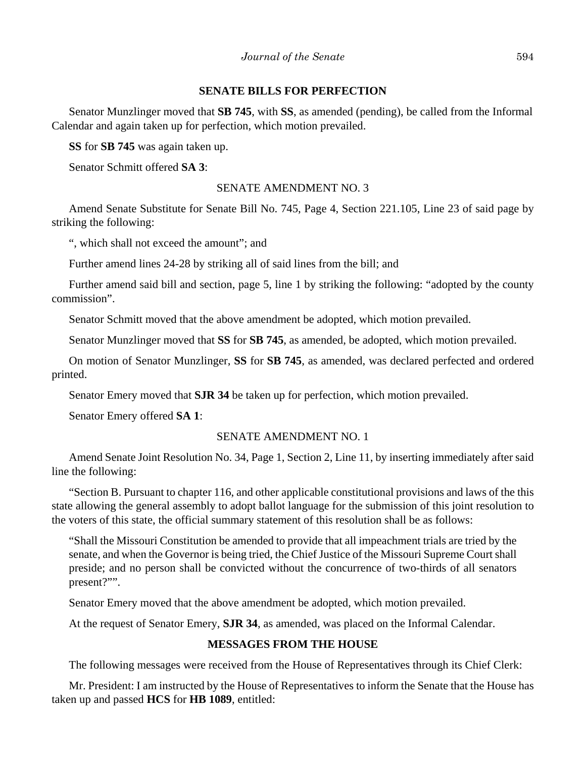#### **SENATE BILLS FOR PERFECTION**

Senator Munzlinger moved that **SB 745**, with **SS**, as amended (pending), be called from the Informal Calendar and again taken up for perfection, which motion prevailed.

**SS** for **SB 745** was again taken up.

Senator Schmitt offered **SA 3**:

#### SENATE AMENDMENT NO. 3

Amend Senate Substitute for Senate Bill No. 745, Page 4, Section 221.105, Line 23 of said page by striking the following:

", which shall not exceed the amount"; and

Further amend lines 24-28 by striking all of said lines from the bill; and

Further amend said bill and section, page 5, line 1 by striking the following: "adopted by the county commission".

Senator Schmitt moved that the above amendment be adopted, which motion prevailed.

Senator Munzlinger moved that **SS** for **SB 745**, as amended, be adopted, which motion prevailed.

On motion of Senator Munzlinger, **SS** for **SB 745**, as amended, was declared perfected and ordered printed.

Senator Emery moved that **SJR 34** be taken up for perfection, which motion prevailed.

Senator Emery offered **SA 1**:

## SENATE AMENDMENT NO. 1

Amend Senate Joint Resolution No. 34, Page 1, Section 2, Line 11, by inserting immediately after said line the following:

"Section B. Pursuant to chapter 116, and other applicable constitutional provisions and laws of the this state allowing the general assembly to adopt ballot language for the submission of this joint resolution to the voters of this state, the official summary statement of this resolution shall be as follows:

"Shall the Missouri Constitution be amended to provide that all impeachment trials are tried by the senate, and when the Governor is being tried, the Chief Justice of the Missouri Supreme Court shall preside; and no person shall be convicted without the concurrence of two-thirds of all senators present?"".

Senator Emery moved that the above amendment be adopted, which motion prevailed.

At the request of Senator Emery, **SJR 34**, as amended, was placed on the Informal Calendar.

## **MESSAGES FROM THE HOUSE**

The following messages were received from the House of Representatives through its Chief Clerk:

Mr. President: I am instructed by the House of Representatives to inform the Senate that the House has taken up and passed **HCS** for **HB 1089**, entitled: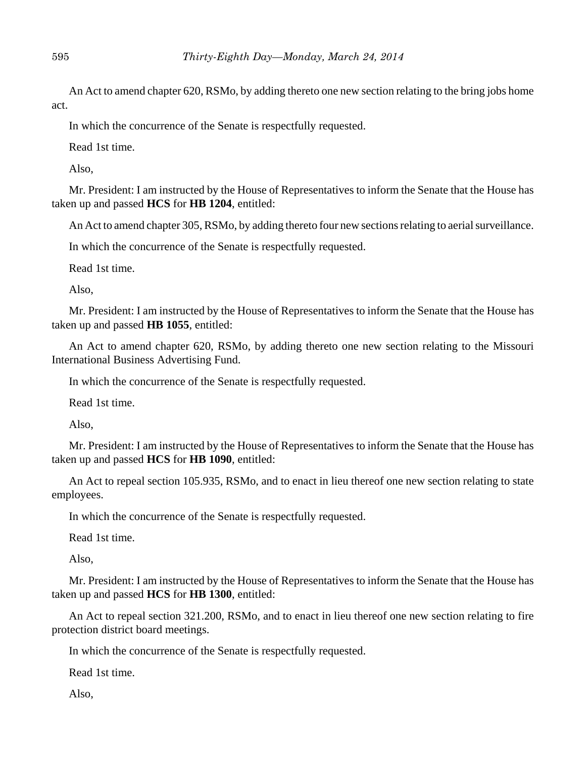An Act to amend chapter 620, RSMo, by adding thereto one new section relating to the bring jobs home act.

In which the concurrence of the Senate is respectfully requested.

Read 1st time.

Also,

Mr. President: I am instructed by the House of Representatives to inform the Senate that the House has taken up and passed **HCS** for **HB 1204**, entitled:

An Act to amend chapter 305, RSMo, by adding thereto four new sections relating to aerial surveillance.

In which the concurrence of the Senate is respectfully requested.

Read 1st time.

Also,

Mr. President: I am instructed by the House of Representatives to inform the Senate that the House has taken up and passed **HB 1055**, entitled:

An Act to amend chapter 620, RSMo, by adding thereto one new section relating to the Missouri International Business Advertising Fund.

In which the concurrence of the Senate is respectfully requested.

Read 1st time.

Also,

Mr. President: I am instructed by the House of Representatives to inform the Senate that the House has taken up and passed **HCS** for **HB 1090**, entitled:

An Act to repeal section 105.935, RSMo, and to enact in lieu thereof one new section relating to state employees.

In which the concurrence of the Senate is respectfully requested.

Read 1st time.

Also,

Mr. President: I am instructed by the House of Representatives to inform the Senate that the House has taken up and passed **HCS** for **HB 1300**, entitled:

An Act to repeal section 321.200, RSMo, and to enact in lieu thereof one new section relating to fire protection district board meetings.

In which the concurrence of the Senate is respectfully requested.

Read 1st time.

Also,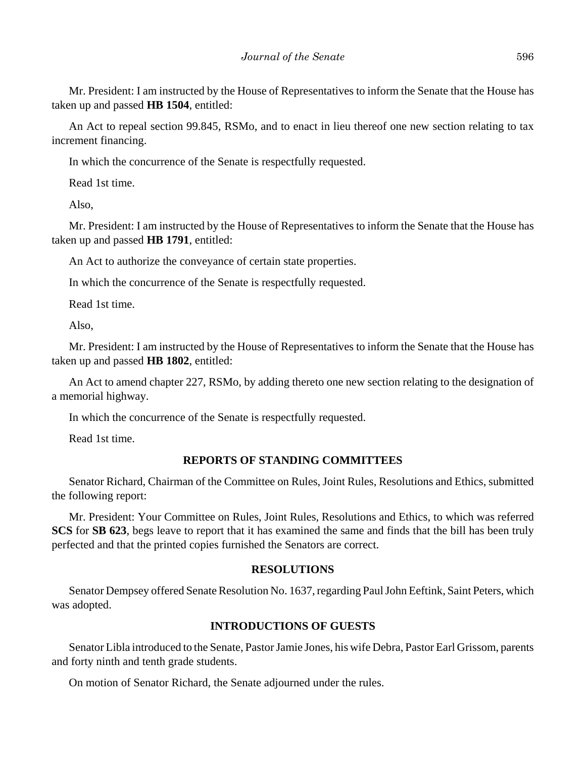Mr. President: I am instructed by the House of Representatives to inform the Senate that the House has taken up and passed **HB 1504**, entitled:

An Act to repeal section 99.845, RSMo, and to enact in lieu thereof one new section relating to tax increment financing.

In which the concurrence of the Senate is respectfully requested.

Read 1st time.

Also,

Mr. President: I am instructed by the House of Representatives to inform the Senate that the House has taken up and passed **HB 1791**, entitled:

An Act to authorize the conveyance of certain state properties.

In which the concurrence of the Senate is respectfully requested.

Read 1st time.

Also,

Mr. President: I am instructed by the House of Representatives to inform the Senate that the House has taken up and passed **HB 1802**, entitled:

An Act to amend chapter 227, RSMo, by adding thereto one new section relating to the designation of a memorial highway.

In which the concurrence of the Senate is respectfully requested.

Read 1st time.

## **REPORTS OF STANDING COMMITTEES**

Senator Richard, Chairman of the Committee on Rules, Joint Rules, Resolutions and Ethics, submitted the following report:

Mr. President: Your Committee on Rules, Joint Rules, Resolutions and Ethics, to which was referred **SCS** for **SB 623**, begs leave to report that it has examined the same and finds that the bill has been truly perfected and that the printed copies furnished the Senators are correct.

#### **RESOLUTIONS**

Senator Dempsey offered Senate Resolution No. 1637, regarding Paul John Eeftink, Saint Peters, which was adopted.

## **INTRODUCTIONS OF GUESTS**

Senator Libla introduced to the Senate, Pastor Jamie Jones, his wife Debra, Pastor Earl Grissom, parents and forty ninth and tenth grade students.

On motion of Senator Richard, the Senate adjourned under the rules.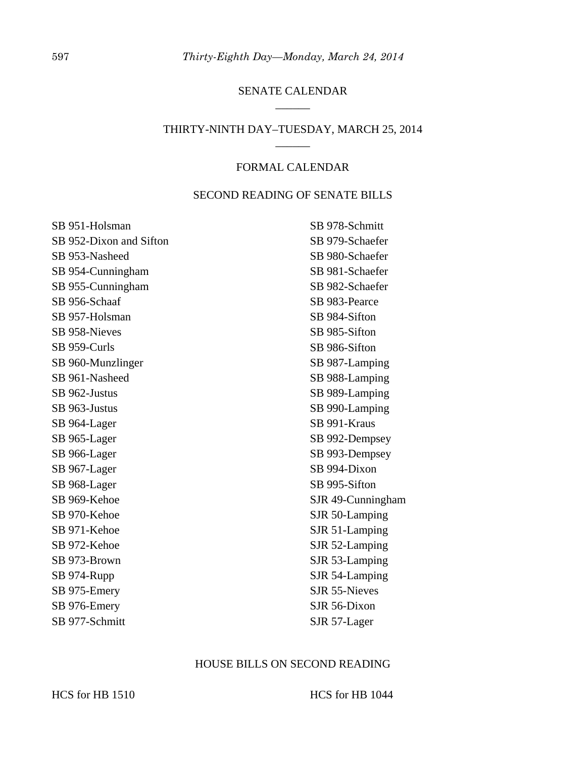## SENATE CALENDAR  $\overline{\phantom{a}}$

# THIRTY-NINTH DAY–TUESDAY, MARCH 25, 2014 \_\_\_\_\_\_

#### FORMAL CALENDAR

## SECOND READING OF SENATE BILLS

| SB 951-Holsman          | SB 978-Schmitt       |
|-------------------------|----------------------|
| SB 952-Dixon and Sifton | SB 979-Schaefer      |
| SB 953-Nasheed          | SB 980-Schaefer      |
| SB 954-Cunningham       | SB 981-Schaefer      |
| SB 955-Cunningham       | SB 982-Schaefer      |
| SB 956-Schaaf           | SB 983-Pearce        |
| SB 957-Holsman          | SB 984-Sifton        |
| SB 958-Nieves           | SB 985-Sifton        |
| SB 959-Curls            | SB 986-Sifton        |
| SB 960-Munzlinger       | SB 987-Lamping       |
| SB 961-Nasheed          | SB 988-Lamping       |
| SB 962-Justus           | SB 989-Lamping       |
| SB 963-Justus           | SB 990-Lamping       |
| SB 964-Lager            | SB 991-Kraus         |
| SB 965-Lager            | SB 992-Dempsey       |
| SB 966-Lager            | SB 993-Dempsey       |
| SB 967-Lager            | SB 994-Dixon         |
| SB 968-Lager            | SB 995-Sifton        |
| SB 969-Kehoe            | SJR 49-Cunningham    |
| SB 970-Kehoe            | SJR 50-Lamping       |
| SB 971-Kehoe            | SJR 51-Lamping       |
| SB 972-Kehoe            | SJR 52-Lamping       |
| SB 973-Brown            | SJR 53-Lamping       |
| SB 974-Rupp             | SJR 54-Lamping       |
| SB 975-Emery            | <b>SJR 55-Nieves</b> |
| SB 976-Emery            | SJR 56-Dixon         |
| SB 977-Schmitt          | SJR 57-Lager         |

# HOUSE BILLS ON SECOND READING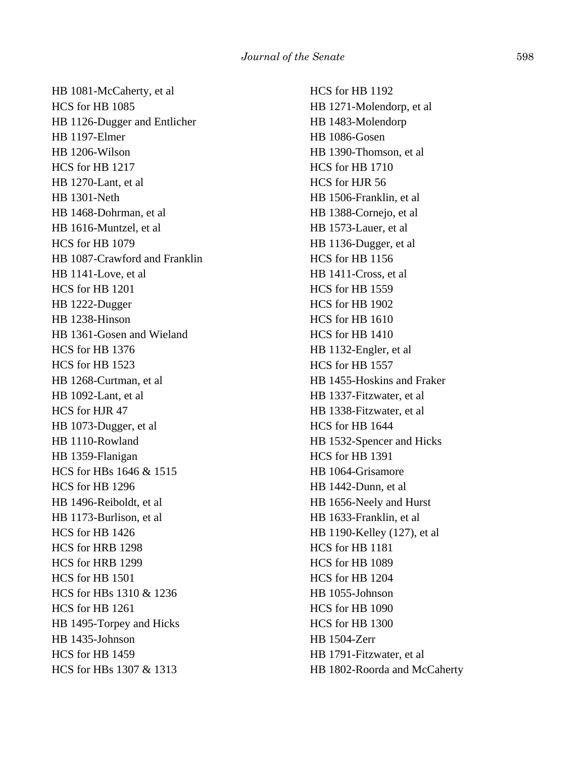HB 1081-McCaherty, et al HCS for HB 1085 HB 1126-Dugger and Entlicher HB 1197-Elmer HB 1206-Wilson HCS for HB 1217 HB 1270-Lant, et al HB 1301-Neth HB 1468-Dohrman, et al HB 1616-Muntzel, et al HCS for HB 1079 HB 1087-Crawford and Franklin HB 1141-Love, et al HCS for HB 1201 HB 1222-Dugger HB 1238-Hinson HB 1361-Gosen and Wieland HCS for HB 1376 HCS for HB 1523 HB 1268-Curtman, et al HB 1092-Lant, et al HCS for HJR 47 HB 1073-Dugger, et al HB 1110-Rowland HB 1359-Flanigan HCS for HBs 1646 & 1515 HCS for HB 1296 HB 1496-Reiboldt, et al HB 1173-Burlison, et al HCS for HB 1426 HCS for HRB 1298 HCS for HRB 1299 HCS for HB 1501 HCS for HBs 1310 & 1236 HCS for HB 1261 HB 1495-Torpey and Hicks HB 1435-Johnson HCS for HB 1459 HCS for HBs 1307 & 1313

HCS for HB 1192 HB 1271-Molendorp, et al HB 1483-Molendorp HB 1086-Gosen HB 1390-Thomson, et al HCS for HB 1710 HCS for HJR 56 HB 1506-Franklin, et al HB 1388-Cornejo, et al HB 1573-Lauer, et al HB 1136-Dugger, et al HCS for HB 1156 HB 1411-Cross, et al HCS for HB 1559 HCS for HB 1902 HCS for HB 1610 HCS for HB 1410 HB 1132-Engler, et al HCS for HB 1557 HB 1455-Hoskins and Fraker HB 1337-Fitzwater, et al HB 1338-Fitzwater, et al HCS for HB 1644 HB 1532-Spencer and Hicks HCS for HB 1391 HB 1064-Grisamore HB 1442-Dunn, et al HB 1656-Neely and Hurst HB 1633-Franklin, et al HB 1190-Kelley (127), et al HCS for HB 1181 HCS for HB 1089 HCS for HB 1204 HB 1055-Johnson HCS for HB 1090 HCS for HB 1300 HB 1504-Zerr HB 1791-Fitzwater, et al HB 1802-Roorda and McCaherty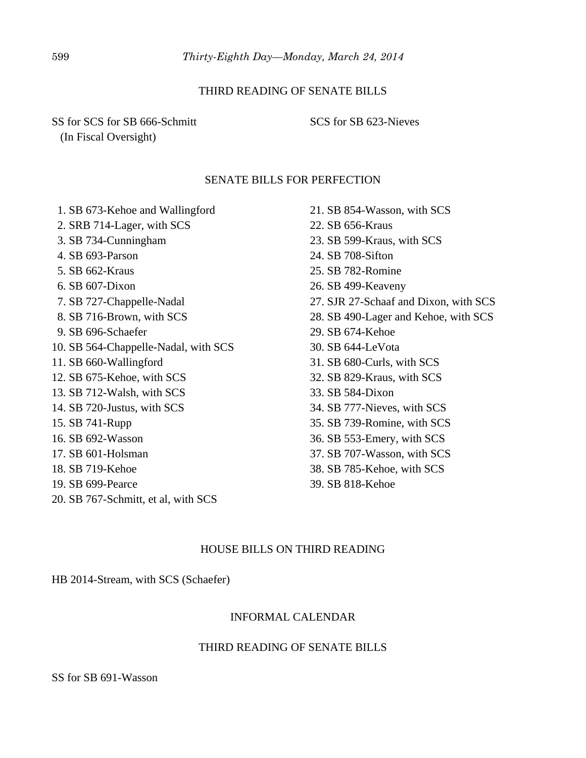## THIRD READING OF SENATE BILLS

SS for SCS for SB 666-Schmitt (In Fiscal Oversight)

SCS for SB 623-Nieves

#### SENATE BILLS FOR PERFECTION

 1. SB 673-Kehoe and Wallingford 2. SRB 714-Lager, with SCS 3. SB 734-Cunningham 4. SB 693-Parson 5. SB 662-Kraus 6. SB 607-Dixon 7. SB 727-Chappelle-Nadal 8. SB 716-Brown, with SCS 9. SB 696-Schaefer 10. SB 564-Chappelle-Nadal, with SCS 11. SB 660-Wallingford 12. SB 675-Kehoe, with SCS 13. SB 712-Walsh, with SCS 14. SB 720-Justus, with SCS 15. SB 741-Rupp 16. SB 692-Wasson 17. SB 601-Holsman 18. SB 719-Kehoe 19. SB 699-Pearce 20. SB 767-Schmitt, et al, with SCS

21. SB 854-Wasson, with SCS 22. SB 656-Kraus 23. SB 599-Kraus, with SCS 24. SB 708-Sifton 25. SB 782-Romine 26. SB 499-Keaveny 27. SJR 27-Schaaf and Dixon, with SCS 28. SB 490-Lager and Kehoe, with SCS 29. SB 674-Kehoe 30. SB 644-LeVota 31. SB 680-Curls, with SCS 32. SB 829-Kraus, with SCS 33. SB 584-Dixon 34. SB 777-Nieves, with SCS 35. SB 739-Romine, with SCS 36. SB 553-Emery, with SCS 37. SB 707-Wasson, with SCS 38. SB 785-Kehoe, with SCS

39. SB 818-Kehoe

# HOUSE BILLS ON THIRD READING

HB 2014-Stream, with SCS (Schaefer)

## INFORMAL CALENDAR

## THIRD READING OF SENATE BILLS

SS for SB 691-Wasson